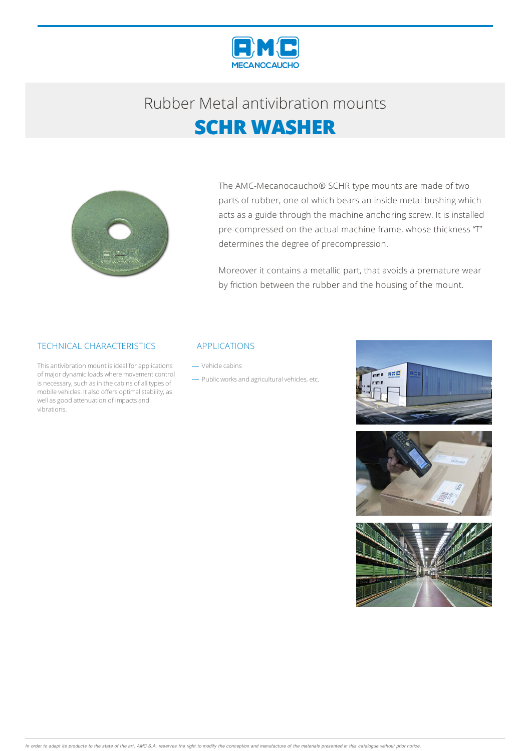

## Rubber Metalantivibration mounts **SCHR WASHER**



The AMC-Mecanocaucho® SCHR type mounts are made of two parts of rubber, one of which bears an inside metal bushing which acts as a guide through the machine anchoring screw. It is installed pre-compressed on the actual machine frame, whose thickness "T" determines the degree of precompression.

Moreover it contains a metallic part, that avoids a premature wear by friction between the rubber and the housing of the mount.

### TECHNICAL CHARACTERISTICS

This antivibration mount is ideal for applications of major dynamic loads where movement control is necessary, such as in the cabins of all types of mobile vehicles. It also offers optimal stability, as well as good attenuation of impacts and vibrations.

#### APPLICATIONS

- Vehicle cabins

- Public works and agricultural vehicles, etc.





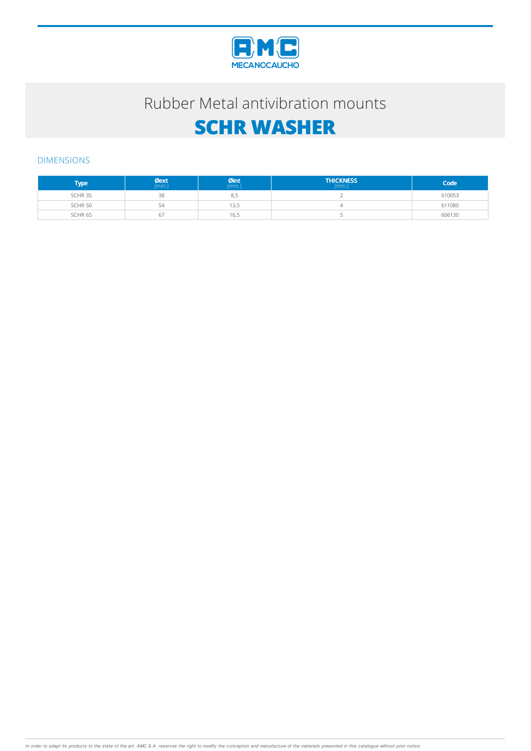

### Rubber Metal antivibration mounts

# **SCHR WASHER**

### DIMENSIONS

| Type               | $Q$ ext | $Qint_{(mm.)}$ | <b>THICKNESS</b> | Code   |
|--------------------|---------|----------------|------------------|--------|
| SCHR <sub>35</sub> | 38      | 8,5            |                  | 610053 |
| SCHR <sub>50</sub> | 54      | 13.5           |                  | 611080 |
| SCHR <sub>65</sub> | 6/      | 16.5           |                  | 606130 |

In order to adapt its products to the state of the art, AMC S.A. reserves the right to modify the conception and manufacture of the materials presented in this catalogue without prior notice.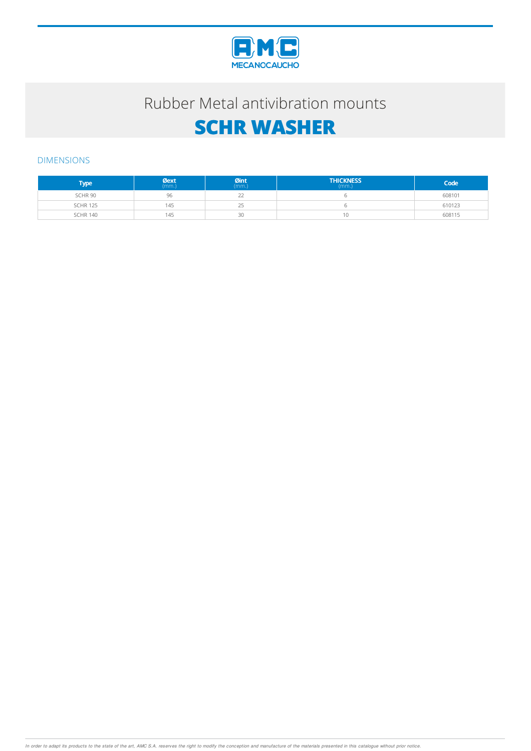

### Rubber Metal antivibration mounts

# **SCHR WASHER**

### DIMENSIONS

| <b>Type</b>     | $\mathcal{O}$ ext | $Qint_{(mm.)}$ | <b>THICKNESS</b><br>(mm.) | Code   |
|-----------------|-------------------|----------------|---------------------------|--------|
| SCHR 90         | 96                | $-$            |                           | 608101 |
| <b>SCHR 125</b> | 145               | つに<br>رے       |                           | 610123 |
| <b>SCHR 140</b> | 145               | 30             | 1Ο                        | 608115 |

In order to adapt its products to the state of the art, AMC S.A. reserves the right to modify the conception and manufacture of the materials presented in this catalogue without prior notice.